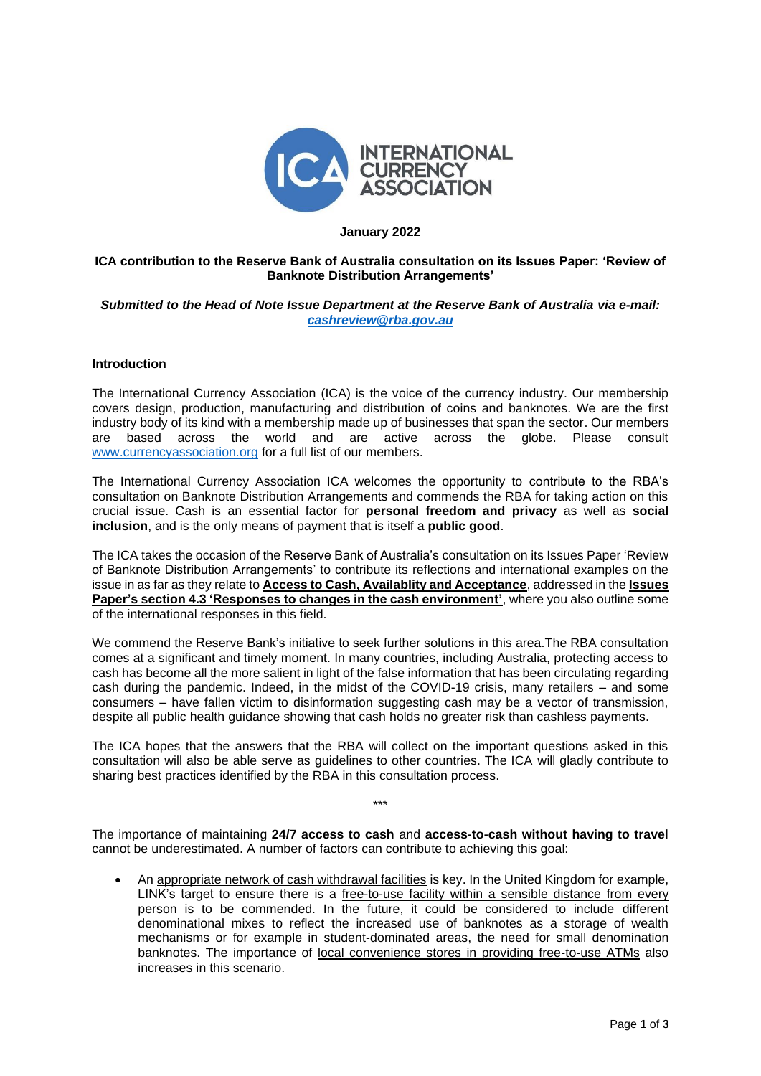

#### **January 2022**

# **ICA contribution to the Reserve Bank of Australia consultation on its Issues Paper: 'Review of Banknote Distribution Arrangements'**

## *Submitted to the Head of Note Issue Department at the Reserve Bank of Australia via e-mail: [cashreview@rba.gov.au](mailto:cashreview@rba.gov.au)*

# **Introduction**

The International Currency Association (ICA) is the voice of the currency industry. Our membership covers design, production, manufacturing and distribution of coins and banknotes. We are the first industry body of its kind with a membership made up of businesses that span the sector. Our members are based across the world and are active across the globe. Please consult [www.currencyassociation.org](http://www.currencyassociation.org/) for a full list of our members.

The International Currency Association ICA welcomes the opportunity to contribute to the RBA's consultation on Banknote Distribution Arrangements and commends the RBA for taking action on this crucial issue. Cash is an essential factor for **personal freedom and privacy** as well as **social inclusion**, and is the only means of payment that is itself a **public good**.

The ICA takes the occasion of the Reserve Bank of Australia's consultation on its Issues Paper 'Review of Banknote Distribution Arrangements' to contribute its reflections and international examples on the issue in as far as they relate to **Access to Cash, Availablity and Acceptance**, addressed in the **Issues Paper's section 4.3 'Responses to changes in the cash environment'**, where you also outline some of the international responses in this field.

We commend the Reserve Bank's initiative to seek further solutions in this area.The RBA consultation comes at a significant and timely moment. In many countries, including Australia, protecting access to cash has become all the more salient in light of the false information that has been circulating regarding cash during the pandemic. Indeed, in the midst of the COVID-19 crisis, many retailers – and some consumers – have fallen victim to disinformation suggesting cash may be a vector of transmission, despite all public health guidance showing that cash holds no greater risk than cashless payments.

The ICA hopes that the answers that the RBA will collect on the important questions asked in this consultation will also be able serve as guidelines to other countries. The ICA will gladly contribute to sharing best practices identified by the RBA in this consultation process.

\*\*\*

The importance of maintaining **24/7 access to cash** and **access-to-cash without having to travel** cannot be underestimated. A number of factors can contribute to achieving this goal:

• An appropriate network of cash withdrawal facilities is key. In the United Kingdom for example, LINK's target to ensure there is a free-to-use facility within a sensible distance from every person is to be commended. In the future, it could be considered to include different denominational mixes to reflect the increased use of banknotes as a storage of wealth mechanisms or for example in student-dominated areas, the need for small denomination banknotes. The importance of local convenience stores in providing free-to-use ATMs also increases in this scenario.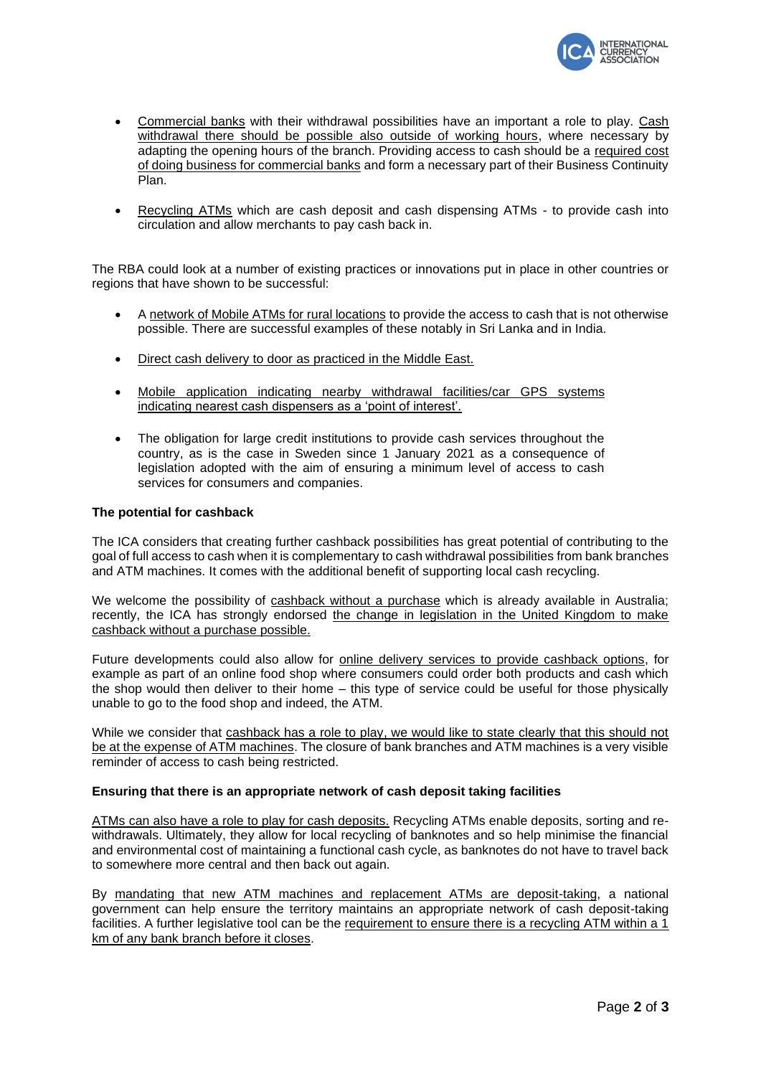

- Commercial banks with their withdrawal possibilities have an important a role to play. Cash withdrawal there should be possible also outside of working hours, where necessary by adapting the opening hours of the branch. Providing access to cash should be a required cost of doing business for commercial banks and form a necessary part of their Business Continuity Plan.
- Recycling ATMs which are cash deposit and cash dispensing ATMs to provide cash into circulation and allow merchants to pay cash back in.

The RBA could look at a number of existing practices or innovations put in place in other countries or regions that have shown to be successful:

- A network of Mobile ATMs for rural locations to provide the access to cash that is not otherwise possible. There are successful examples of these notably in Sri Lanka and in India.
- Direct cash delivery to door as practiced in the Middle East.
- Mobile application indicating nearby withdrawal facilities/car GPS systems indicating nearest cash dispensers as a 'point of interest'.
- The obligation for large credit institutions to provide cash services throughout the country, as is the case in Sweden since 1 January 2021 as a consequence of legislation adopted with the aim of ensuring a minimum level of access to cash services for consumers and companies.

#### **The potential for cashback**

The ICA considers that creating further cashback possibilities has great potential of contributing to the goal of full access to cash when it is complementary to cash withdrawal possibilities from bank branches and ATM machines. It comes with the additional benefit of supporting local cash recycling.

We welcome the possibility of cashback without a purchase which is already available in Australia; recently, the ICA has strongly endorsed the change in legislation in the United Kingdom to make cashback without a purchase possible.

Future developments could also allow for online delivery services to provide cashback options, for example as part of an online food shop where consumers could order both products and cash which the shop would then deliver to their home – this type of service could be useful for those physically unable to go to the food shop and indeed, the ATM.

While we consider that cashback has a role to play, we would like to state clearly that this should not be at the expense of ATM machines. The closure of bank branches and ATM machines is a very visible reminder of access to cash being restricted.

#### **Ensuring that there is an appropriate network of cash deposit taking facilities**

ATMs can also have a role to play for cash deposits. Recycling ATMs enable deposits, sorting and rewithdrawals. Ultimately, they allow for local recycling of banknotes and so help minimise the financial and environmental cost of maintaining a functional cash cycle, as banknotes do not have to travel back to somewhere more central and then back out again.

By mandating that new ATM machines and replacement ATMs are deposit-taking, a national government can help ensure the territory maintains an appropriate network of cash deposit-taking facilities. A further legislative tool can be the requirement to ensure there is a recycling ATM within a 1 km of any bank branch before it closes.